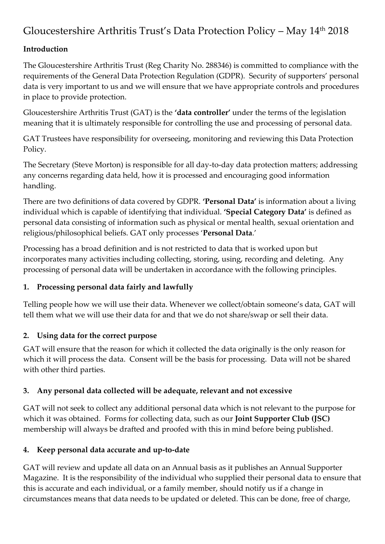# Gloucestershire Arthritis Trust's Data Protection Policy – May 14th 2018

## **Introduction**

The Gloucestershire Arthritis Trust (Reg Charity No. 288346) is committed to compliance with the requirements of the General Data Protection Regulation (GDPR). Security of supporters' personal data is very important to us and we will ensure that we have appropriate controls and procedures in place to provide protection.

Gloucestershire Arthritis Trust (GAT) is the **'data controller'** under the terms of the legislation meaning that it is ultimately responsible for controlling the use and processing of personal data.

GAT Trustees have responsibility for overseeing, monitoring and reviewing this Data Protection Policy.

The Secretary (Steve Morton) is responsible for all day-to-day data protection matters; addressing any concerns regarding data held, how it is processed and encouraging good information handling.

There are two definitions of data covered by GDPR. **'Personal Data'** is information about a living individual which is capable of identifying that individual. **'Special Category Data'** is defined as personal data consisting of information such as physical or mental health, sexual orientation and religious/philosophical beliefs. GAT only processes '**Personal Data**.'

Processing has a broad definition and is not restricted to data that is worked upon but incorporates many activities including collecting, storing, using, recording and deleting. Any processing of personal data will be undertaken in accordance with the following principles.

## **1. Processing personal data fairly and lawfully**

Telling people how we will use their data. Whenever we collect/obtain someone's data, GAT will tell them what we will use their data for and that we do not share/swap or sell their data.

# **2. Using data for the correct purpose**

GAT will ensure that the reason for which it collected the data originally is the only reason for which it will process the data. Consent will be the basis for processing. Data will not be shared with other third parties.

# **3. Any personal data collected will be adequate, relevant and not excessive**

GAT will not seek to collect any additional personal data which is not relevant to the purpose for which it was obtained. Forms for collecting data, such as our **Joint Supporter Club (JSC)** membership will always be drafted and proofed with this in mind before being published.

# **4. Keep personal data accurate and up-to-date**

GAT will review and update all data on an Annual basis as it publishes an Annual Supporter Magazine. It is the responsibility of the individual who supplied their personal data to ensure that this is accurate and each individual, or a family member, should notify us if a change in circumstances means that data needs to be updated or deleted. This can be done, free of charge,